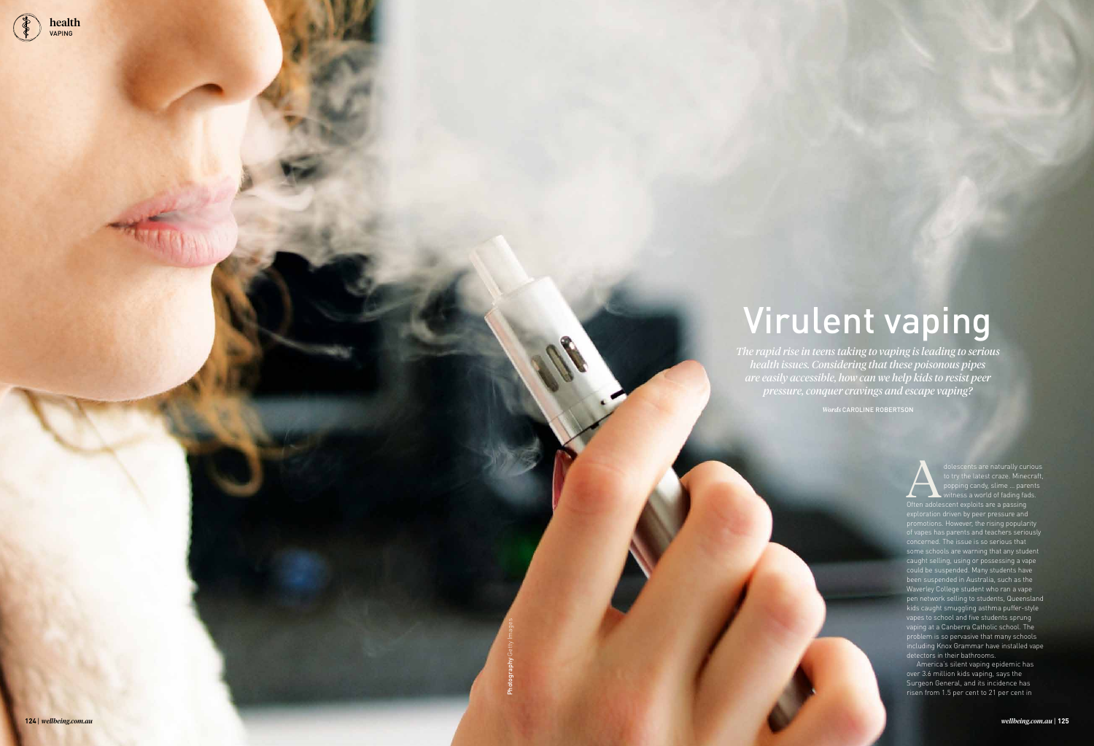*The rapid rise in teens taking to vaping is leading to serious health issues. Considering that these poisonous pipes are easily accessible, how can we help kids to resist peer pressure, conquer cravings and escape vaping?*

*Words* CAROLINE ROBERTSON

# Virulent vaping

dolescents are naturally curious<br>to try the latest craze. Minecraft,<br>popping candy, slime ... parents<br>Often adolescent exploits are a passing to try the latest craze. Minecraft, pop<br>incondy, slime ... parents  $\frac{1}{10}$  ess a world of fading fads. Often adolescent exploits are a passing exploration driven by peer pressure and promotions. However, the rising popularity of vapes has parents and teachers seriously concerned. The issue is so serious that some schools are warning that any student caught selling, using or possessing a vape could be suspended. Many students have been suspended in Australia, such as the Waverley College student who ran a vape pen network selling to students, Queensland kids caught smuggling asthma puffer-style vapes to school and five students sprung vaping at a Canberra Catholic school. The problem is so pervasive that many schools including Knox Grammar have installed vape detectors in their bathrooms.

America's silent vaping epidemic has over 3.6 million kids vaping, says the Surgeon General, and its incidence has risen from 1.5 per cent to 21 per cent in

Photography Getty Images